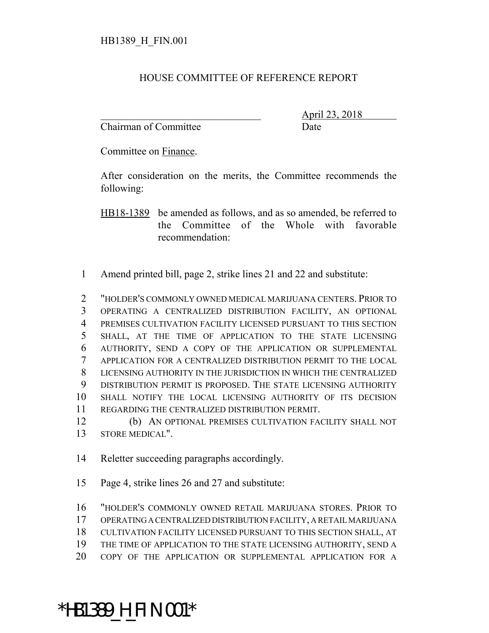## HOUSE COMMITTEE OF REFERENCE REPORT

Chairman of Committee **Date** 

\_\_\_\_\_\_\_\_\_\_\_\_\_\_\_\_\_\_\_\_\_\_\_\_\_\_\_\_\_\_\_ April 23, 2018

Committee on Finance.

After consideration on the merits, the Committee recommends the following:

HB18-1389 be amended as follows, and as so amended, be referred to the Committee of the Whole with favorable recommendation:

Amend printed bill, page 2, strike lines 21 and 22 and substitute:

 "HOLDER'S COMMONLY OWNED MEDICAL MARIJUANA CENTERS. PRIOR TO OPERATING A CENTRALIZED DISTRIBUTION FACILITY, AN OPTIONAL PREMISES CULTIVATION FACILITY LICENSED PURSUANT TO THIS SECTION SHALL, AT THE TIME OF APPLICATION TO THE STATE LICENSING AUTHORITY, SEND A COPY OF THE APPLICATION OR SUPPLEMENTAL APPLICATION FOR A CENTRALIZED DISTRIBUTION PERMIT TO THE LOCAL LICENSING AUTHORITY IN THE JURISDICTION IN WHICH THE CENTRALIZED DISTRIBUTION PERMIT IS PROPOSED. THE STATE LICENSING AUTHORITY SHALL NOTIFY THE LOCAL LICENSING AUTHORITY OF ITS DECISION REGARDING THE CENTRALIZED DISTRIBUTION PERMIT.

 (b) AN OPTIONAL PREMISES CULTIVATION FACILITY SHALL NOT STORE MEDICAL".

Reletter succeeding paragraphs accordingly.

Page 4, strike lines 26 and 27 and substitute:

"HOLDER'S COMMONLY OWNED RETAIL MARIJUANA STORES. PRIOR TO

- OPERATING A CENTRALIZED DISTRIBUTION FACILITY, A RETAIL MARIJUANA
- CULTIVATION FACILITY LICENSED PURSUANT TO THIS SECTION SHALL, AT
- THE TIME OF APPLICATION TO THE STATE LICENSING AUTHORITY, SEND A
- COPY OF THE APPLICATION OR SUPPLEMENTAL APPLICATION FOR A

## \*HB1389\_H\_FIN.001\*